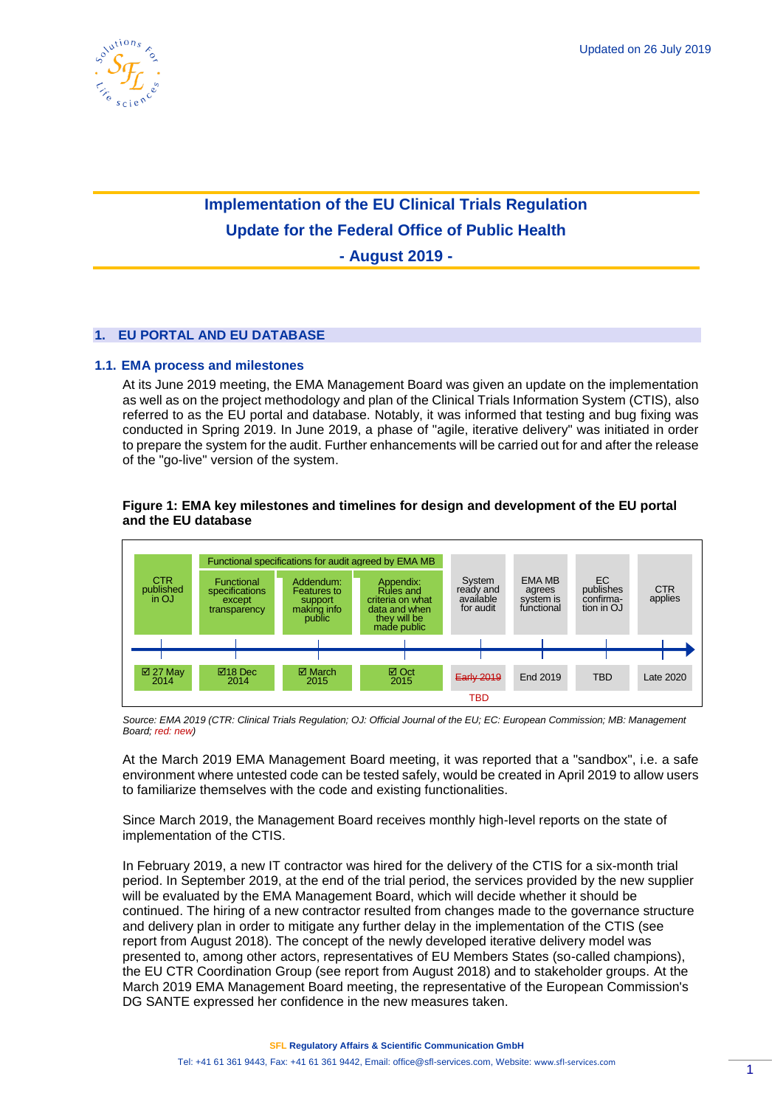

# **Implementation of the EU Clinical Trials Regulation Update for the Federal Office of Public Health**

**- August 2019 -**

# **1. EU PORTAL AND EU DATABASE**

## **1.1. EMA process and milestones**

At its June 2019 meeting, the EMA Management Board was given an update on the implementation as well as on the project methodology and plan of the Clinical Trials Information System (CTIS), also referred to as the EU portal and database. Notably, it was informed that testing and bug fixing was conducted in Spring 2019. In June 2019, a phase of "agile, iterative delivery" was initiated in order to prepare the system for the audit. Further enhancements will be carried out for and after the release of the "go-live" version of the system.

## **Figure 1: EMA key milestones and timelines for design and development of the EU portal and the EU database**



*Source: EMA 2019 (CTR: Clinical Trials Regulation; OJ: Official Journal of the EU; EC: European Commission; MB: Management Board; red: new)*

At the March 2019 EMA Management Board meeting, it was reported that a "sandbox", i.e. a safe environment where untested code can be tested safely, would be created in April 2019 to allow users to familiarize themselves with the code and existing functionalities.

Since March 2019, the Management Board receives monthly high-level reports on the state of implementation of the CTIS.

In February 2019, a new IT contractor was hired for the delivery of the CTIS for a six-month trial period. In September 2019, at the end of the trial period, the services provided by the new supplier will be evaluated by the EMA Management Board, which will decide whether it should be continued. The hiring of a new contractor resulted from changes made to the governance structure and delivery plan in order to mitigate any further delay in the implementation of the CTIS (see report from August 2018). The concept of the newly developed iterative delivery model was presented to, among other actors, representatives of EU Members States (so-called champions), the EU CTR Coordination Group (see report from August 2018) and to stakeholder groups. At the March 2019 EMA Management Board meeting, the representative of the European Commission's DG SANTE expressed her confidence in the new measures taken.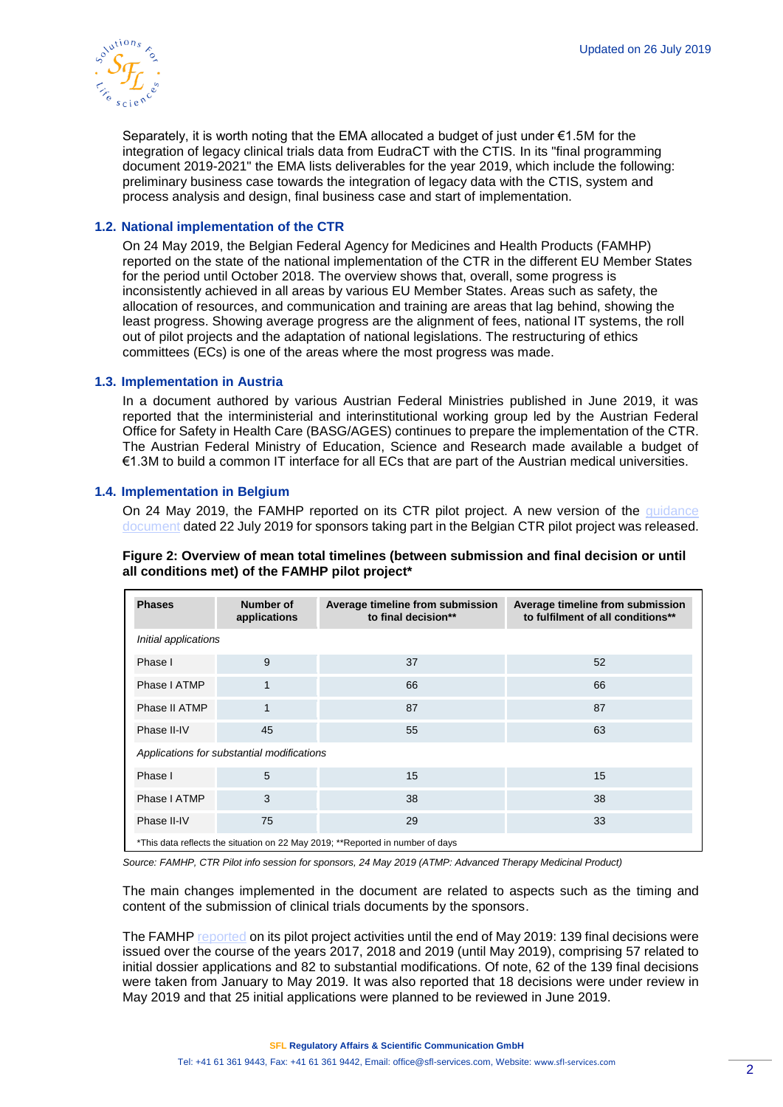

Separately, it is worth noting that the EMA allocated a budget of just under €1.5M for the integration of legacy clinical trials data from EudraCT with the CTIS. In its "final programming document 2019-2021" the EMA lists deliverables for the year 2019, which include the following: preliminary business case towards the integration of legacy data with the CTIS, system and process analysis and design, final business case and start of implementation.

# **1.2. National implementation of the CTR**

On 24 May 2019, the Belgian Federal Agency for Medicines and Health Products (FAMHP) reported on the state of the national implementation of the CTR in the different EU Member States for the period until October 2018. The overview shows that, overall, some progress is inconsistently achieved in all areas by various EU Member States. Areas such as safety, the allocation of resources, and communication and training are areas that lag behind, showing the least progress. Showing average progress are the alignment of fees, national IT systems, the roll out of pilot projects and the adaptation of national legislations. The restructuring of ethics committees (ECs) is one of the areas where the most progress was made.

#### **1.3. Implementation in Austria**

In a document authored by various Austrian Federal Ministries published in June 2019, it was reported that the interministerial and interinstitutional working group led by the Austrian Federal Office for Safety in Health Care (BASG/AGES) continues to prepare the implementation of the CTR. The Austrian Federal Ministry of Education, Science and Research made available a budget of €1.3M to build a common IT interface for all ECs that are part of the Austrian medical universities.

## **1.4. Implementation in Belgium**

On 24 May 2019, the FAMHP reported on its CTR pilot project. A new version of the [guidance](https://www.afmps.be/sites/default/files/content/ctr_pilot_project_guidance_for_sponsors_v_7.0_22-07-2019_0.pdf)  [document](https://www.afmps.be/sites/default/files/content/ctr_pilot_project_guidance_for_sponsors_v_7.0_22-07-2019_0.pdf) dated 22 July 2019 for sponsors taking part in the Belgian CTR pilot project was released.

| <b>Phases</b>                                                                  | Number of<br>applications | Average timeline from submission<br>to final decision** | Average timeline from submission<br>to fulfilment of all conditions** |  |  |  |
|--------------------------------------------------------------------------------|---------------------------|---------------------------------------------------------|-----------------------------------------------------------------------|--|--|--|
| Initial applications                                                           |                           |                                                         |                                                                       |  |  |  |
| Phase I                                                                        | 9                         | 37                                                      | 52                                                                    |  |  |  |
| Phase I ATMP                                                                   | 1                         | 66                                                      | 66                                                                    |  |  |  |
| Phase II ATMP                                                                  | $\mathbf{1}$              | 87                                                      | 87                                                                    |  |  |  |
| Phase II-IV                                                                    | 45                        | 55                                                      | 63                                                                    |  |  |  |
| Applications for substantial modifications                                     |                           |                                                         |                                                                       |  |  |  |
| Phase I                                                                        | 5                         | 15                                                      | 15                                                                    |  |  |  |
| Phase I ATMP                                                                   | 3                         | 38                                                      | 38                                                                    |  |  |  |
| Phase II-IV                                                                    | 75                        | 29                                                      | 33                                                                    |  |  |  |
| *This data reflects the situation on 22 May 2019; **Reported in number of days |                           |                                                         |                                                                       |  |  |  |

**Figure 2: Overview of mean total timelines (between submission and final decision or until all conditions met) of the FAMHP pilot project\***

*Source: FAMHP, CTR Pilot info session for sponsors, 24 May 2019 (ATMP: Advanced Therapy Medicinal Product)*

The main changes implemented in the document are related to aspects such as the timing and content of the submission of clinical trials documents by the sponsors.

The FAMHP [reported](https://www.afmps.be/sites/default/files/content/pilot_info_session_for_sponsors_20190524_print_screens_0.pdf) on its pilot project activities until the end of May 2019: 139 final decisions were issued over the course of the years 2017, 2018 and 2019 (until May 2019), comprising 57 related to initial dossier applications and 82 to substantial modifications. Of note, 62 of the 139 final decisions were taken from January to May 2019. It was also reported that 18 decisions were under review in May 2019 and that 25 initial applications were planned to be reviewed in June 2019.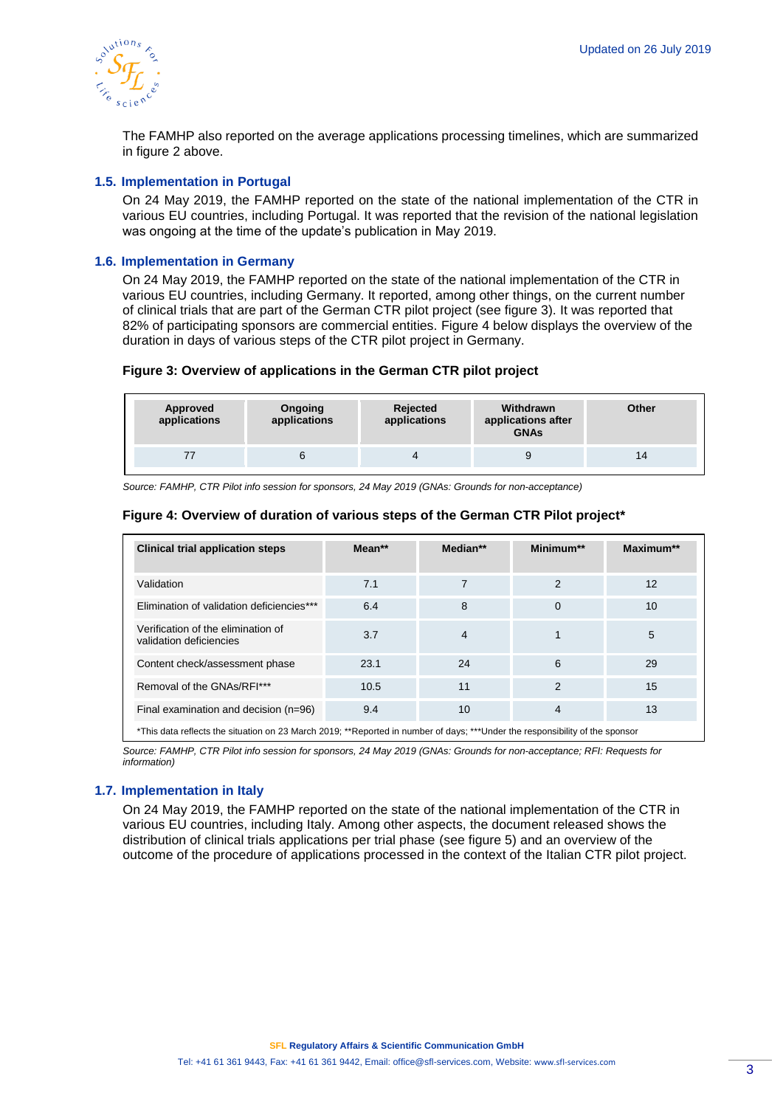

The FAMHP also reported on the average applications processing timelines, which are summarized in figure 2 above.

#### **1.5. Implementation in Portugal**

On 24 May 2019, the FAMHP reported on the state of the national implementation of the CTR in various EU countries, including Portugal. It was reported that the revision of the national legislation was ongoing at the time of the update's publication in May 2019.

# **1.6. Implementation in Germany**

On 24 May 2019, the FAMHP reported on the state of the national implementation of the CTR in various EU countries, including Germany. It reported, among other things, on the current number of clinical trials that are part of the German CTR pilot project (see figure 3). It was reported that 82% of participating sponsors are commercial entities. Figure 4 below displays the overview of the duration in days of various steps of the CTR pilot project in Germany.

#### **Figure 3: Overview of applications in the German CTR pilot project**

| Approved<br>applications | Ongoing<br>applications | Rejected<br>applications | Withdrawn<br>applications after<br><b>GNAs</b> | Other |
|--------------------------|-------------------------|--------------------------|------------------------------------------------|-------|
|                          |                         |                          | 9                                              | 14    |

*Source: FAMHP, CTR Pilot info session for sponsors, 24 May 2019 (GNAs: Grounds for non-acceptance)*

## **Figure 4: Overview of duration of various steps of the German CTR Pilot project\***

| <b>Clinical trial application steps</b>                                                                                      | $Mean**$ | Median** | Minimum**      | Maximum** |
|------------------------------------------------------------------------------------------------------------------------------|----------|----------|----------------|-----------|
| Validation                                                                                                                   | 7.1      |          | $\overline{2}$ | 12        |
| Elimination of validation deficiencies***                                                                                    | 6.4      | 8        | $\Omega$       | 10        |
| Verification of the elimination of<br>validation deficiencies                                                                | 3.7      | 4        |                | 5         |
| Content check/assessment phase                                                                                               | 23.1     | 24       | 6              | 29        |
| Removal of the GNAs/RFI***                                                                                                   | 10.5     | 11       | $\overline{2}$ | 15        |
| Final examination and decision (n=96)                                                                                        | 9.4      | 10       | 4              | 13        |
| *This data reflects the situation on 23 March 2019; **Reported in number of days; ***Under the responsibility of the sponsor |          |          |                |           |

*Source: FAMHP, CTR Pilot info session for sponsors, 24 May 2019 (GNAs: Grounds for non-acceptance; RFI: Requests for information)*

#### **1.7. Implementation in Italy**

On 24 May 2019, the FAMHP reported on the state of the national implementation of the CTR in various EU countries, including Italy. Among other aspects, the document released shows the distribution of clinical trials applications per trial phase (see figure 5) and an overview of the outcome of the procedure of applications processed in the context of the Italian CTR pilot project.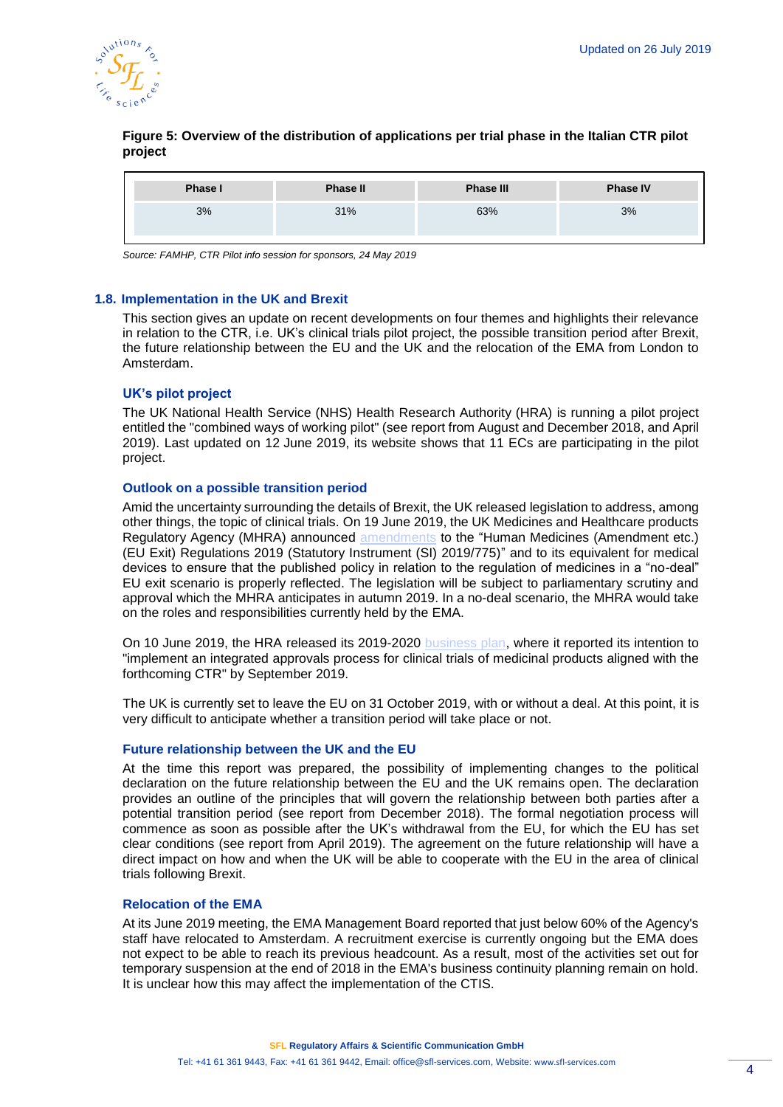

# **Figure 5: Overview of the distribution of applications per trial phase in the Italian CTR pilot project**

| <b>Phase I</b> | <b>Phase II</b> | <b>Phase III</b> | <b>Phase IV</b> |
|----------------|-----------------|------------------|-----------------|
| 3%             | 31%             | 63%              | 3%              |

*Source: FAMHP, CTR Pilot info session for sponsors, 24 May 2019*

## **1.8. Implementation in the UK and Brexit**

This section gives an update on recent developments on four themes and highlights their relevance in relation to the CTR, i.e. UK's clinical trials pilot project, the possible transition period after Brexit, the future relationship between the EU and the UK and the relocation of the EMA from London to Amsterdam.

# **UK's pilot project**

The UK National Health Service (NHS) Health Research Authority (HRA) is running a pilot project entitled the "combined ways of working pilot" (see report from August and December 2018, and April 2019). Last updated on 12 June 2019, its website shows that 11 ECs are participating in the pilot project.

## **Outlook on a possible transition period**

Amid the uncertainty surrounding the details of Brexit, the UK released legislation to address, among other things, the topic of clinical trials. On 19 June 2019, the UK Medicines and Healthcare products Regulatory Agency (MHRA) announced [amendments](https://www.gov.uk/eu-withdrawal-act-2018-statutory-instruments/the-human-medicines-amendment-etc-eu-exit-no-2-and-the-medical-devices-amendment-etc-eu-exit-no-2-regulations-2019#statutory-instrument) to the "Human Medicines (Amendment etc.) (EU Exit) Regulations 2019 (Statutory Instrument (SI) 2019/775)" and to its equivalent for medical devices to ensure that the published policy in relation to the regulation of medicines in a "no-deal" EU exit scenario is properly reflected. The legislation will be subject to parliamentary scrutiny and approval which the MHRA anticipates in autumn 2019. In a no-deal scenario, the MHRA would take on the roles and responsibilities currently held by the EMA.

On 10 June 2019, the HRA released its 2019-2020 [business plan,](https://www.hra.nhs.uk/about-us/what-we-do/business-plan/our-business-plan-2019-2020/our-plans-201920/) where it reported its intention to "implement an integrated approvals process for clinical trials of medicinal products aligned with the forthcoming CTR" by September 2019.

The UK is currently set to leave the EU on 31 October 2019, with or without a deal. At this point, it is very difficult to anticipate whether a transition period will take place or not.

#### **Future relationship between the UK and the EU**

At the time this report was prepared, the possibility of implementing changes to the political declaration on the future relationship between the EU and the UK remains open. The declaration provides an outline of the principles that will govern the relationship between both parties after a potential transition period (see report from December 2018). The formal negotiation process will commence as soon as possible after the UK's withdrawal from the EU, for which the EU has set clear conditions (see report from April 2019). The agreement on the future relationship will have a direct impact on how and when the UK will be able to cooperate with the EU in the area of clinical trials following Brexit.

#### **Relocation of the EMA**

At its June 2019 meeting, the EMA Management Board reported that just below 60% of the Agency's staff have relocated to Amsterdam. A recruitment exercise is currently ongoing but the EMA does not expect to be able to reach its previous headcount. As a result, most of the activities set out for temporary suspension at the end of 2018 in the EMA's business continuity planning remain on hold. It is unclear how this may affect the implementation of the CTIS.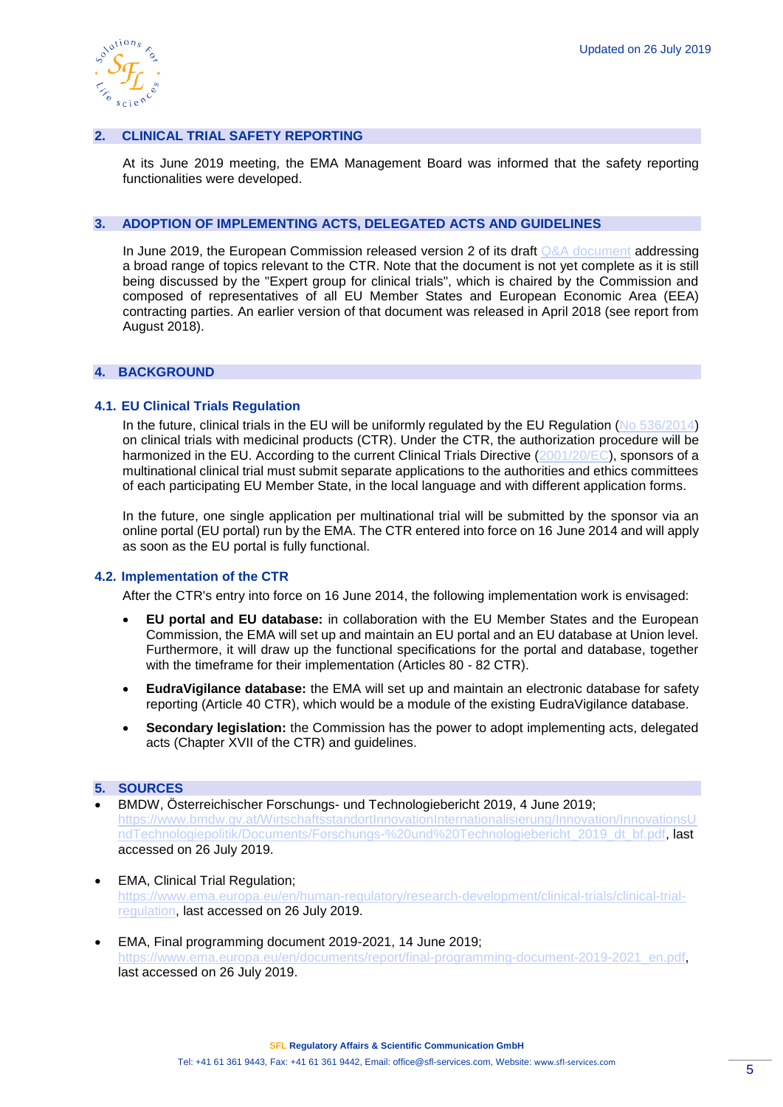

# **2. CLINICAL TRIAL SAFETY REPORTING**

At its June 2019 meeting, the EMA Management Board was informed that the safety reporting functionalities were developed.

#### **3. ADOPTION OF IMPLEMENTING ACTS, DELEGATED ACTS AND GUIDELINES**

In June 2019, the European Commission released version 2 of its draft [Q&A document](https://ec.europa.eu/health/sites/health/files/files/eudralex/vol-10/regulation5362014_qa_en.pdf) addressing a broad range of topics relevant to the CTR. Note that the document is not yet complete as it is still being discussed by the "Expert group for clinical trials", which is chaired by the Commission and composed of representatives of all EU Member States and European Economic Area (EEA) contracting parties. An earlier version of that document was released in April 2018 (see report from August 2018).

# **4. BACKGROUND**

## **4.1. EU Clinical Trials Regulation**

In the future, clinical trials in the EU will be uniformly regulated by the EU Regulation [\(No 536/2014\)](http://eur-lex.europa.eu/legal-content/EN/TXT/PDF/?uri=CELEX:32014R0536&from=EN) on clinical trials with medicinal products (CTR). Under the CTR, the authorization procedure will be harmonized in the EU. According to the current Clinical Trials Directive [\(2001/20/EC\)](http://eur-lex.europa.eu/legal-content/EN/TXT/?qid=1498489090986&uri=CELEX:32001L0020), sponsors of a multinational clinical trial must submit separate applications to the authorities and ethics committees of each participating EU Member State, in the local language and with different application forms.

In the future, one single application per multinational trial will be submitted by the sponsor via an online portal (EU portal) run by the EMA. The CTR entered into force on 16 June 2014 and will apply as soon as the EU portal is fully functional.

#### **4.2. Implementation of the CTR**

After the CTR's entry into force on 16 June 2014, the following implementation work is envisaged:

- **EU portal and EU database:** in collaboration with the EU Member States and the European Commission, the EMA will set up and maintain an EU portal and an EU database at Union level. Furthermore, it will draw up the functional specifications for the portal and database, together with the timeframe for their implementation (Articles 80 - 82 CTR).
- **EudraVigilance database:** the EMA will set up and maintain an electronic database for safety reporting (Article 40 CTR), which would be a module of the existing EudraVigilance database.
- **Secondary legislation:** the Commission has the power to adopt implementing acts, delegated acts (Chapter XVII of the CTR) and guidelines.

# **5. SOURCES**

- BMDW, Österreichischer Forschungs- und Technologiebericht 2019, 4 June 2019; [https://www.bmdw.gv.at/WirtschaftsstandortInnovationInternationalisierung/Innovation/InnovationsU](https://www.bmdw.gv.at/WirtschaftsstandortInnovationInternationalisierung/Innovation/InnovationsUndTechnologiepolitik/Documents/Forschungs-%20und%20Technologiebericht_2019_dt_bf.pdf) [ndTechnologiepolitik/Documents/Forschungs-%20und%20Technologiebericht\\_2019\\_dt\\_bf.pdf,](https://www.bmdw.gv.at/WirtschaftsstandortInnovationInternationalisierung/Innovation/InnovationsUndTechnologiepolitik/Documents/Forschungs-%20und%20Technologiebericht_2019_dt_bf.pdf) last accessed on 26 July 2019.
- EMA, Clinical Trial Regulation; [https://www.ema.europa.eu/en/human-regulatory/research-development/clinical-trials/clinical-trial](https://www.ema.europa.eu/en/human-regulatory/research-development/clinical-trials/clinical-trial-regulation)[regulation,](https://www.ema.europa.eu/en/human-regulatory/research-development/clinical-trials/clinical-trial-regulation) last accessed on 26 July 2019.
- EMA, Final programming document 2019-2021, 14 June 2019; [https://www.ema.europa.eu/en/documents/report/final-programming-document-2019-2021\\_en.pdf,](https://www.ema.europa.eu/en/documents/report/final-programming-document-2019-2021_en.pdf) last accessed on 26 July 2019.